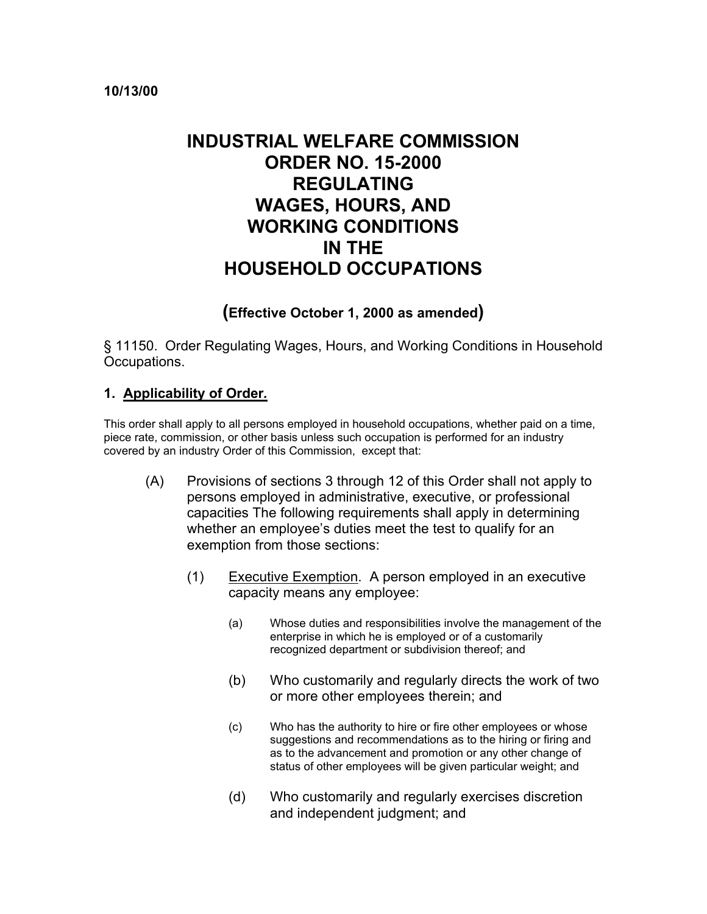#### **10/13/00**

# **INDUSTRIAL WELFARE COMMISSION ORDER NO. 15-2000 REGULATING WAGES, HOURS, AND WORKING CONDITIONS IN THE HOUSEHOLD OCCUPATIONS**

## **(Effective October 1, 2000 as amended)**

§ 11150. Order Regulating Wages, Hours, and Working Conditions in Household Occupations.

#### **1. Applicability of Order***.*

This order shall apply to all persons employed in household occupations, whether paid on a time, piece rate, commission, or other basis unless such occupation is performed for an industry covered by an industry Order of this Commission, except that:

- (A) Provisions of sections 3 through 12 of this Order shall not apply to persons employed in administrative, executive, or professional capacities The following requirements shall apply in determining whether an employee's duties meet the test to qualify for an exemption from those sections:
	- (1) Executive Exemption. A person employed in an executive capacity means any employee:
		- (a) Whose duties and responsibilities involve the management of the enterprise in which he is employed or of a customarily recognized department or subdivision thereof; and
		- (b) Who customarily and regularly directs the work of two or more other employees therein; and
		- (c) Who has the authority to hire or fire other employees or whose suggestions and recommendations as to the hiring or firing and as to the advancement and promotion or any other change of status of other employees will be given particular weight; and
		- (d) Who customarily and regularly exercises discretion and independent judgment; and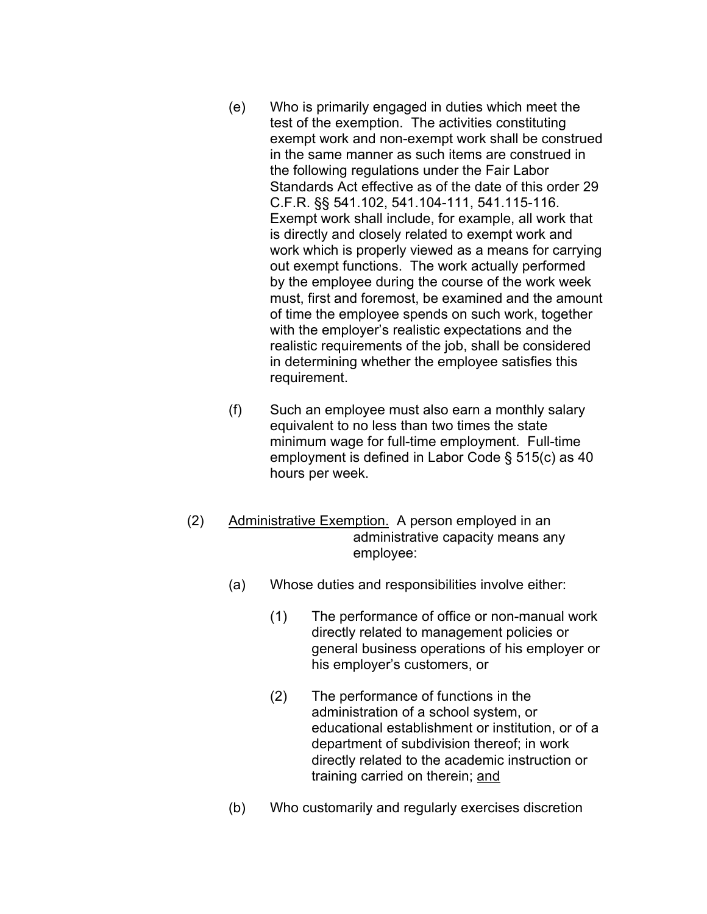- (e) Who is primarily engaged in duties which meet the test of the exemption. The activities constituting exempt work and non-exempt work shall be construed in the same manner as such items are construed in the following regulations under the Fair Labor Standards Act effective as of the date of this order 29 C.F.R. §§ 541.102, 541.104-111, 541.115-116. Exempt work shall include, for example, all work that is directly and closely related to exempt work and work which is properly viewed as a means for carrying out exempt functions. The work actually performed by the employee during the course of the work week must, first and foremost, be examined and the amount of time the employee spends on such work, together with the employer's realistic expectations and the realistic requirements of the job, shall be considered in determining whether the employee satisfies this requirement.
- (f) Such an employee must also earn a monthly salary equivalent to no less than two times the state minimum wage for full-time employment. Full-time employment is defined in Labor Code § 515(c) as 40 hours per week.
- (2) Administrative Exemption. A person employed in an administrative capacity means any employee:
	- (a) Whose duties and responsibilities involve either:
		- (1) The performance of office or non-manual work directly related to management policies or general business operations of his employer or his employer's customers, or
		- (2) The performance of functions in the administration of a school system, or educational establishment or institution, or of a department of subdivision thereof; in work directly related to the academic instruction or training carried on therein; and
	- (b) Who customarily and regularly exercises discretion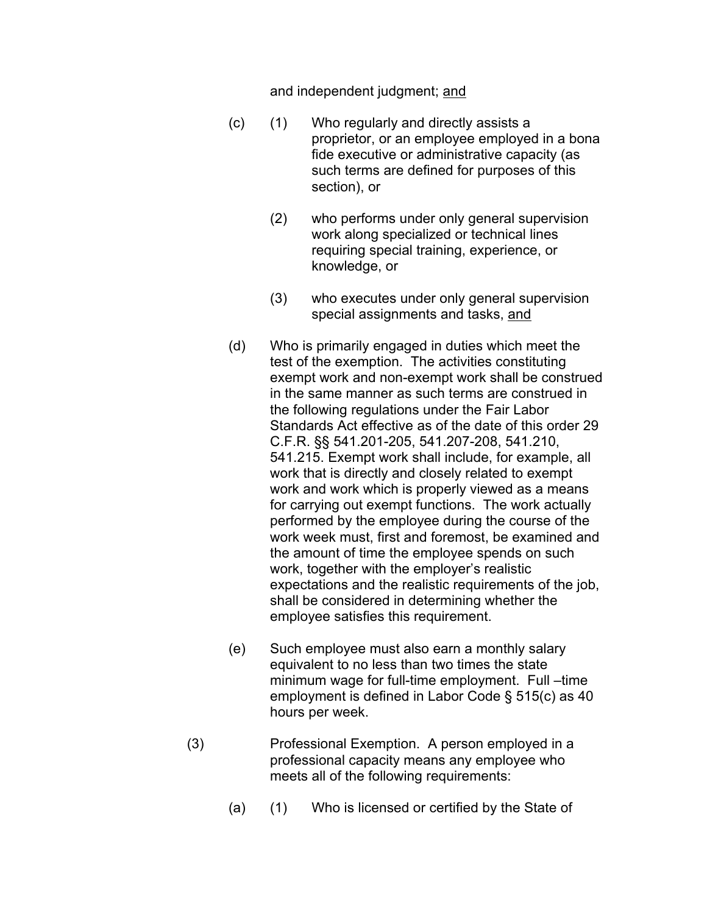and independent judgment; <u>and</u>

- $(c)$  $(1)$  Who regularly and directly assists a proprietor, or an employee employed in a bona fide executive or administrative capacity (as such terms are defined for purposes of this section), or
	- (2) who performs under only general supervision work along specialized or technical lines requiring special training, experience, or knowledge, or
	- (3) who executes under only general supervision special assignments and tasks, and
- (d) Who is primarily engaged in duties which meet the test of the exemption. The activities constituting exempt work and non-exempt work shall be construed in the same manner as such terms are construed in the following regulations under the Fair Labor Standards Act effective as of the date of this order 29 C.F.R. §§ 541.201-205, 541.207-208, 541.210, 541.215. Exempt work shall include, for example, all work that is directly and closely related to exempt work and work which is properly viewed as a means for carrying out exempt functions. The work actually performed by the employee during the course of the work week must, first and foremost, be examined and the amount of time the employee spends on such work, together with the employer's realistic expectations and the realistic requirements of the job, shall be considered in determining whether the employee satisfies this requirement.
- (e) Such employee must also earn a monthly salary equivalent to no less than two times the state minimum wage for full-time employment. Full –time employment is defined in Labor Code § 515(c) as 40 hours per week.
- (3) Professional Exemption. A person employed in a professional capacity means any employee who meets all of the following requirements:
	- (a) (1) Who is licensed or certified by the State of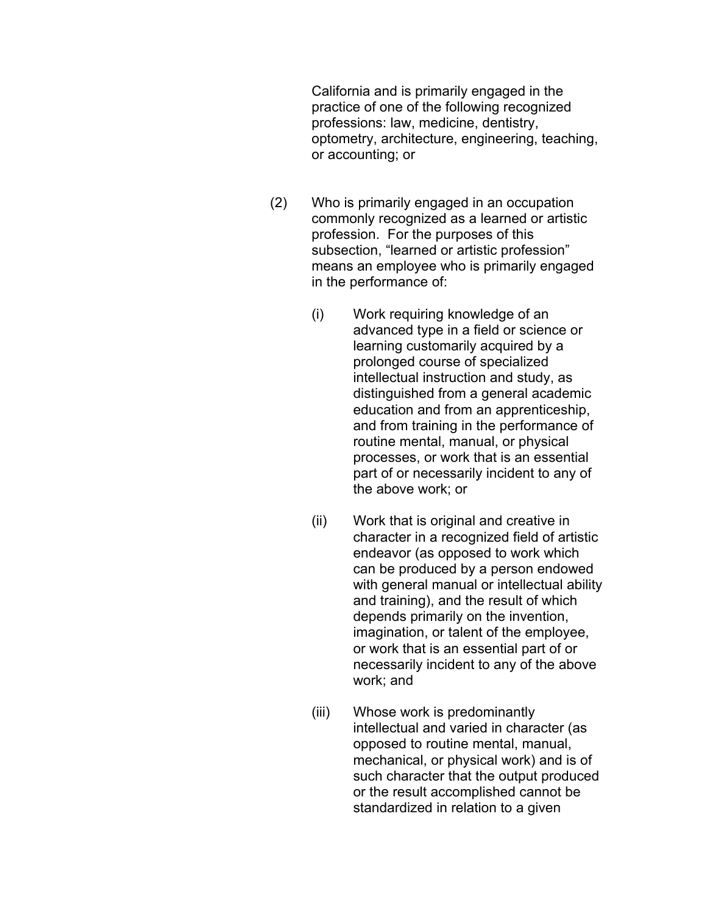California and is primarily engaged in the practice of one of the following recognized professions: law, medicine, dentistry, optometry, architecture, engineering, teaching, or accounting; or

- (2) Who is primarily engaged in an occupation commonly recognized as a learned or artistic profession. For the purposes of this subsection, "learned or artistic profession" means an employee who is primarily engaged in the performance of:
	- (i) Work requiring knowledge of an advanced type in a field or science or learning customarily acquired by a prolonged course of specialized intellectual instruction and study, as distinguished from a general academic education and from an apprenticeship, and from training in the performance of routine mental, manual, or physical processes, or work that is an essential part of or necessarily incident to any of the above work; or
	- (ii) Work that is original and creative in character in a recognized field of artistic endeavor (as opposed to work which can be produced by a person endowed with general manual or intellectual ability and training), and the result of which depends primarily on the invention, imagination, or talent of the employee, or work that is an essential part of or necessarily incident to any of the above work; and
	- (iii) Whose work is predominantly intellectual and varied in character (as opposed to routine mental, manual, mechanical, or physical work) and is of such character that the output produced or the result accomplished cannot be standardized in relation to a given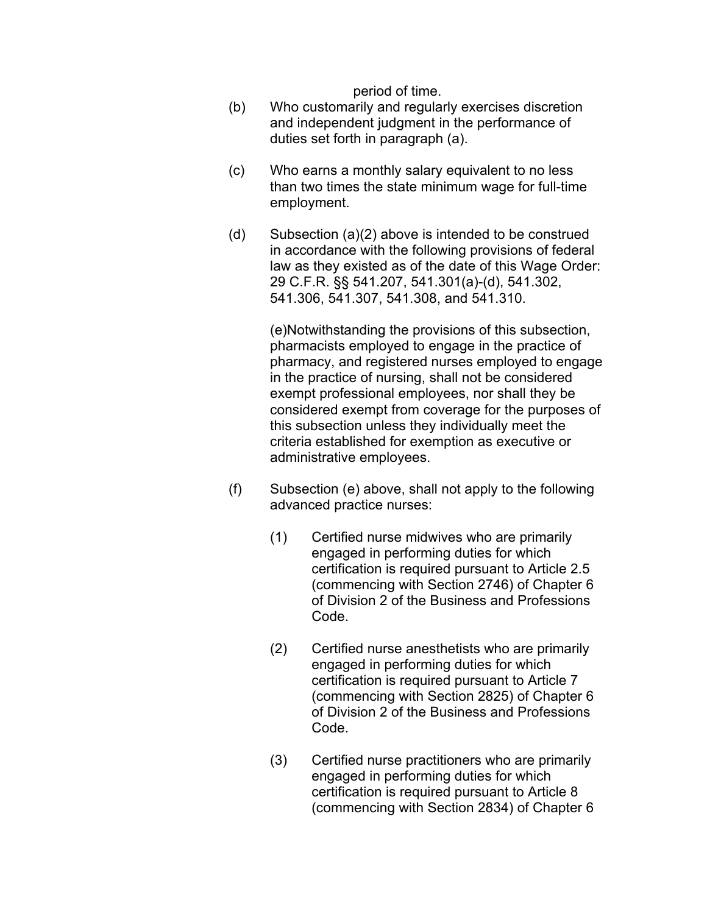period of time.

- (b) Who customarily and regularly exercises discretion and independent judgment in the performance of duties set forth in paragraph (a).
- (c) Who earns a monthly salary equivalent to no less than two times the state minimum wage for full-time employment.
- (d) Subsection  $(a)(2)$  above is intended to be construed in accordance with the following provisions of federal law as they existed as of the date of this Wage Order: 29 C.F.R. §§ 541.207, 541.301(a)-(d), 541.302, 541.306, 541.307, 541.308, and 541.310.

(e)Notwithstanding the provisions of this subsection, pharmacists employed to engage in the practice of pharmacy, and registered nurses employed to engage in the practice of nursing, shall not be considered exempt professional employees, nor shall they be considered exempt from coverage for the purposes of this subsection unless they individually meet the criteria established for exemption as executive or administrative employees.

- $(f)$  Subsection (e) above, shall not apply to the following advanced practice nurses:
	- (1) Certified nurse midwives who are primarily engaged in performing duties for which certification is required pursuant to Article 2.5 (commencing with Section 2746) of Chapter 6 of Division 2 of the Business and Professions Code.
	- (2) Certified nurse anesthetists who are primarily engaged in performing duties for which certification is required pursuant to Article 7 (commencing with Section 2825) of Chapter 6 of Division 2 of the Business and Professions Code.
	- (3) Certified nurse practitioners who are primarily engaged in performing duties for which certification is required pursuant to Article 8 (commencing with Section 2834) of Chapter 6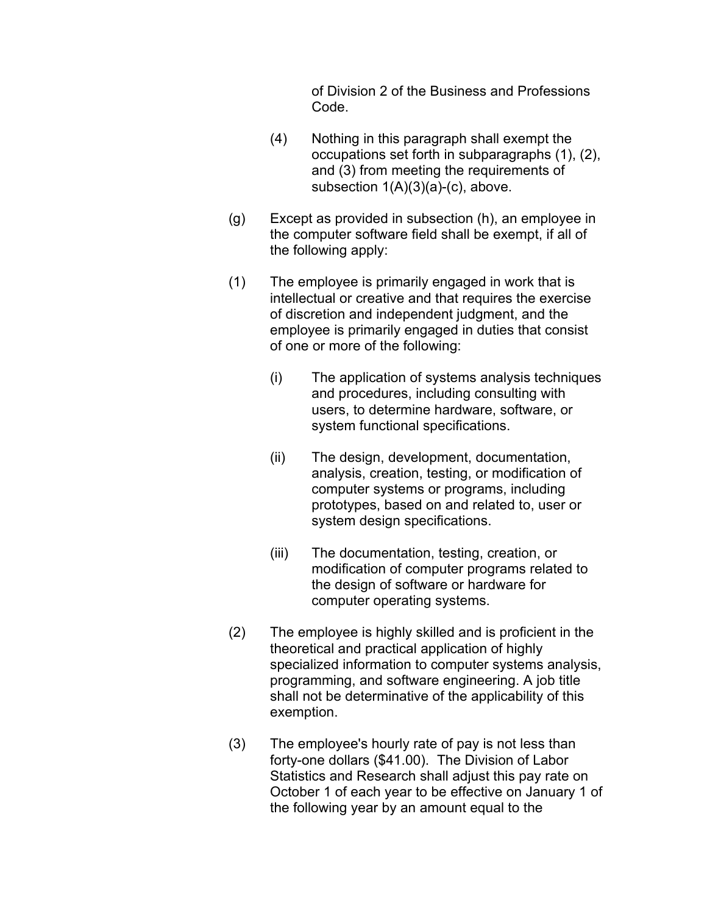of Division 2 of the Business and Professions Code.

- (4) Nothing in this paragraph shall exempt the occupations set forth in subparagraphs (1), (2), and (3) from meeting the requirements of subsection  $1(A)(3)(a)-(c)$ , above.
- (g) Except as provided in subsection (h), an employee in the computer software field shall be exempt, if all of the following apply:
- (1) The employee is primarily engaged in work that is intellectual or creative and that requires the exercise of discretion and independent judgment, and the employee is primarily engaged in duties that consist of one or more of the following:
	- (i) The application of systems analysis techniques and procedures, including consulting with users, to determine hardware, software, or system functional specifications.
	- (ii) The design, development, documentation, analysis, creation, testing, or modification of computer systems or programs, including prototypes, based on and related to, user or system design specifications.
	- (iii) The documentation, testing, creation, or modification of computer programs related to the design of software or hardware for computer operating systems.
- (2) The employee is highly skilled and is proficient in the theoretical and practical application of highly specialized information to computer systems analysis, programming, and software engineering. A job title shall not be determinative of the applicability of this exemption.
- (3) The employee's hourly rate of pay is not less than forty-one dollars (\$41.00). The Division of Labor Statistics and Research shall adjust this pay rate on October 1 of each year to be effective on January 1 of the following year by an amount equal to the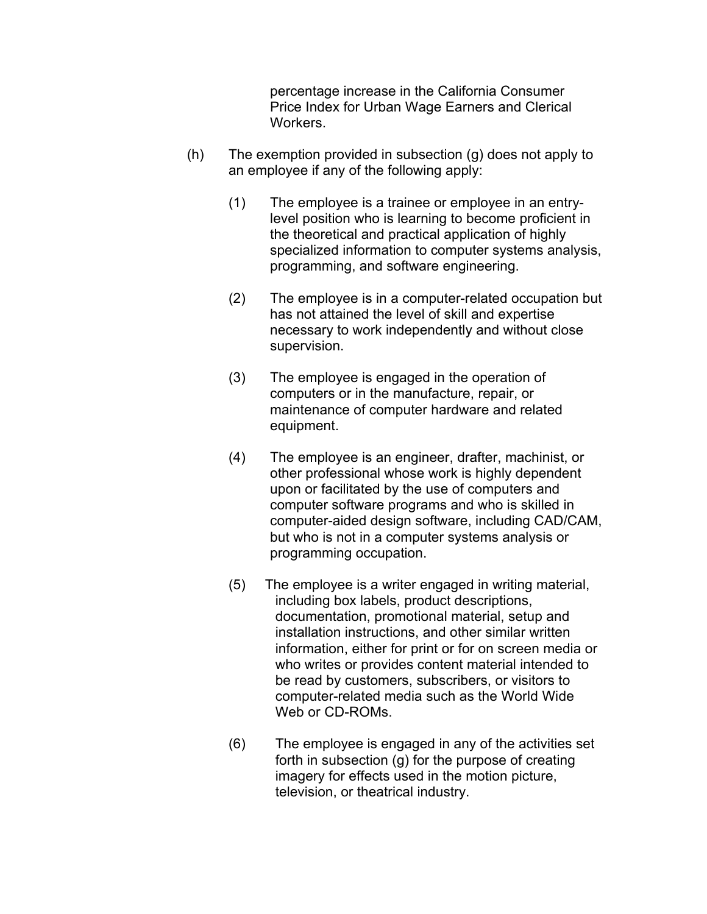percentage increase in the California Consumer Price Index for Urban Wage Earners and Clerical Workers.

- $(h)$  The exemption provided in subsection  $(g)$  does not apply to an employee if any of the following apply:
	- (1) The employee is a trainee or employee in an entrylevel position who is learning to become proficient in the theoretical and practical application of highly specialized information to computer systems analysis, programming, and software engineering.
	- (2) The employee is in a computer-related occupation but has not attained the level of skill and expertise necessary to work independently and without close supervision.
	- (3) The employee is engaged in the operation of computers or in the manufacture, repair, or maintenance of computer hardware and related equipment.
	- (4) The employee is an engineer, drafter, machinist, or other professional whose work is highly dependent upon or facilitated by the use of computers and computer software programs and who is skilled in computer-aided design software, including CAD/CAM, but who is not in a computer systems analysis or programming occupation.
	- $(5)$ The employee is a writer engaged in writing material, including box labels, product descriptions, documentation, promotional material, setup and installation instructions, and other similar written information, either for print or for on screen media or who writes or provides content material intended to be read by customers, subscribers, or visitors to computer-related media such as the World Wide Web or CD-ROMs.
	- $(6)$ The employee is engaged in any of the activities set forth in subsection (g) for the purpose of creating imagery for effects used in the motion picture, television, or theatrical industry.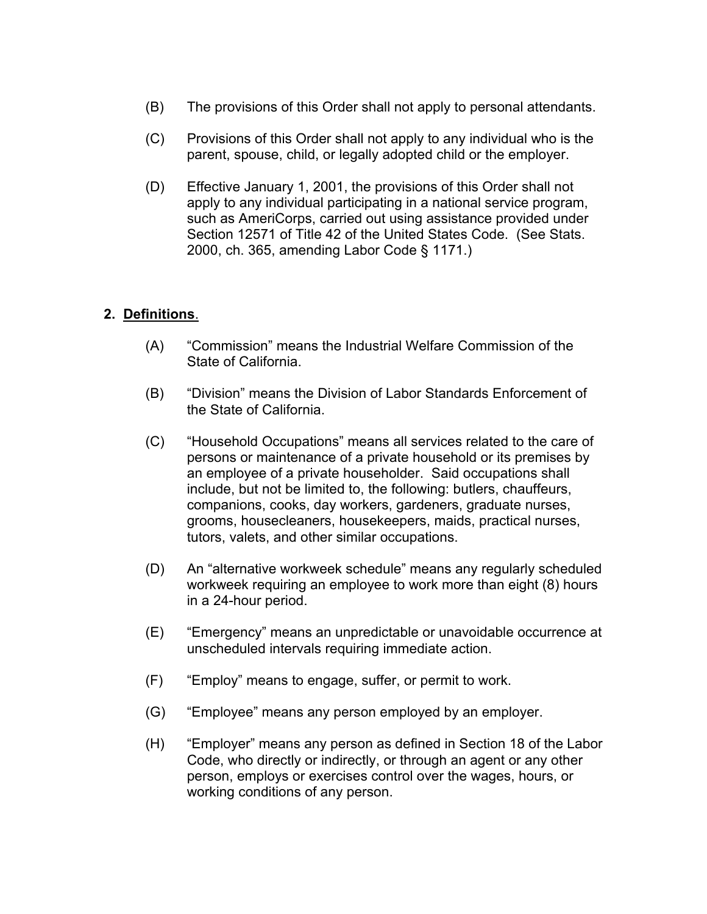- $(B)$ The provisions of this Order shall not apply to personal attendants.
- (C) Provisions of this Order shall not apply to any individual who is the parent, spouse, child, or legally adopted child or the employer.
- (D) Effective January 1, 2001, the provisions of this Order shall not apply to any individual participating in a national service program, such as AmeriCorps, carried out using assistance provided under Section 12571 of Title 42 of the United States Code. (See Stats. 2000, ch. 365, amending Labor Code § 1171.)

## **2. Definitions**.

- (A) "Commission" means the Industrial Welfare Commission of the State of California.
- (B) "Division" means the Division of Labor Standards Enforcement of the State of California.
- (C) "Household Occupations" means all services related to the care of persons or maintenance of a private household or its premises by an employee of a private householder. Said occupations shall include, but not be limited to, the following: butlers, chauffeurs, companions, cooks, day workers, gardeners, graduate nurses, grooms, housecleaners, housekeepers, maids, practical nurses, tutors, valets, and other similar occupations.
- (D) An "alternative workweek schedule" means any regularly scheduled workweek requiring an employee to work more than eight (8) hours in a 24-hour period.
- (E) "Emergency" means an unpredictable or unavoidable occurrence at unscheduled intervals requiring immediate action.
- $(F)$ "Employ" means to engage, suffer, or permit to work.
- $(G)$ "Employee" means any person employed by an employer.
- (H) "Employer" means any person as defined in Section 18 of the Labor Code, who directly or indirectly, or through an agent or any other person, employs or exercises control over the wages, hours, or working conditions of any person.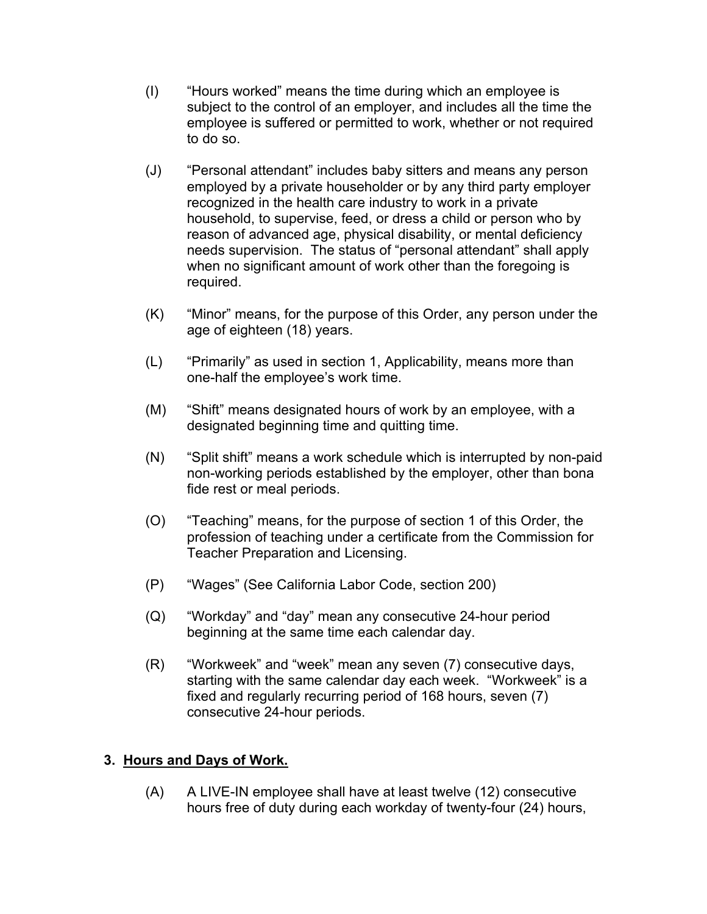- (I) "Hours worked" means the time during which an employee is subject to the control of an employer, and includes all the time the employee is suffered or permitted to work, whether or not required to do so.
- (J) "Personal attendant" includes baby sitters and means any person employed by a private householder or by any third party employer recognized in the health care industry to work in a private household, to supervise, feed, or dress a child or person who by reason of advanced age, physical disability, or mental deficiency needs supervision. The status of "personal attendant" shall apply when no significant amount of work other than the foregoing is required.
- (K) "Minor" means, for the purpose of this Order, any person under the age of eighteen (18) years.
- (L) "Primarily" as used in section 1, Applicability, means more than one-half the employee's work time.
- (M) "Shift" means designated hours of work by an employee, with a designated beginning time and quitting time.
- (N) "Split shift" means a work schedule which is interrupted by non-paid non-working periods established by the employer, other than bona fide rest or meal periods.
- (O) "Teaching" means, for the purpose of section 1 of this Order, the profession of teaching under a certificate from the Commission for Teacher Preparation and Licensing.
- $(P)$ "Wages" (See California Labor Code, section 200)
- (Q) "Workday" and "day" mean any consecutive 24-hour period beginning at the same time each calendar day.
- (R) "Workweek" and "week" mean any seven (7) consecutive days, starting with the same calendar day each week. "Workweek" is a fixed and regularly recurring period of 168 hours, seven (7) consecutive 24-hour periods.

## **3. Hours and Days of Work.**

(A) A LIVE-IN employee shall have at least twelve (12) consecutive hours free of duty during each workday of twenty-four (24) hours,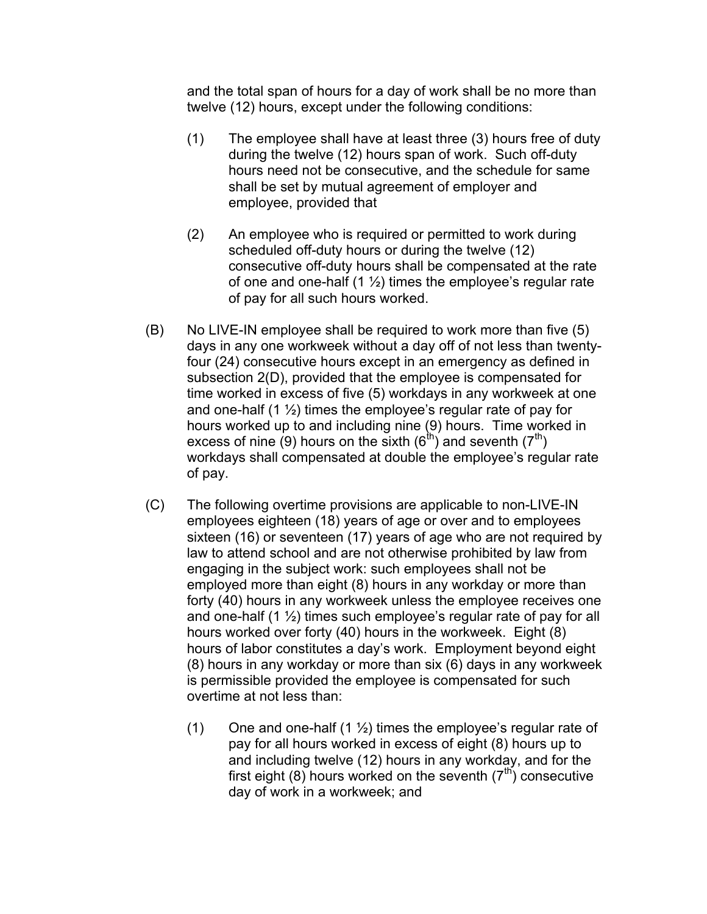and the total span of hours for a day of work shall be no more than twelve (12) hours, except under the following conditions:

- $(1)$  The employee shall have at least three  $(3)$  hours free of duty during the twelve (12) hours span of work. Such off-duty hours need not be consecutive, and the schedule for same shall be set by mutual agreement of employer and employee, provided that
- (2) An employee who is required or permitted to work during scheduled off-duty hours or during the twelve (12) consecutive off-duty hours shall be compensated at the rate of one and one-half  $(1 \frac{1}{2})$  times the employee's regular rate of pay for all such hours worked.
- (B) No LIVE-IN employee shall be required to work more than five (5) days in any one workweek without a day off of not less than twentyfour (24) consecutive hours except in an emergency as defined in subsection 2(D), provided that the employee is compensated for time worked in excess of five (5) workdays in any workweek at one and one-half  $(1 \frac{1}{2})$  times the employee's regular rate of pay for hours worked up to and including nine (9) hours. Time worked in excess of nine (9) hours on the sixth  $(6^{th})$  and seventh  $(7^{th})$ workdays shall compensated at double the employee's regular rate of pay.
- (C) The following overtime provisions are applicable to non-LIVE-IN employees eighteen (18) years of age or over and to employees sixteen (16) or seventeen (17) years of age who are not required by law to attend school and are not otherwise prohibited by law from engaging in the subject work: such employees shall not be employed more than eight (8) hours in any workday or more than forty (40) hours in any workweek unless the employee receives one and one-half  $(1 \frac{1}{2})$  times such employee's regular rate of pay for all hours worked over forty (40) hours in the workweek. Eight (8) hours of labor constitutes a day's work. Employment beyond eight (8) hours in any workday or more than six (6) days in any workweek is permissible provided the employee is compensated for such overtime at not less than:
	- (1) One and one-half  $(1 \frac{1}{2})$  times the employee's regular rate of pay for all hours worked in excess of eight (8) hours up to and including twelve (12) hours in any workday, and for the first eight (8) hours worked on the seventh ( $7<sup>th</sup>$ ) consecutive day of work in a workweek; and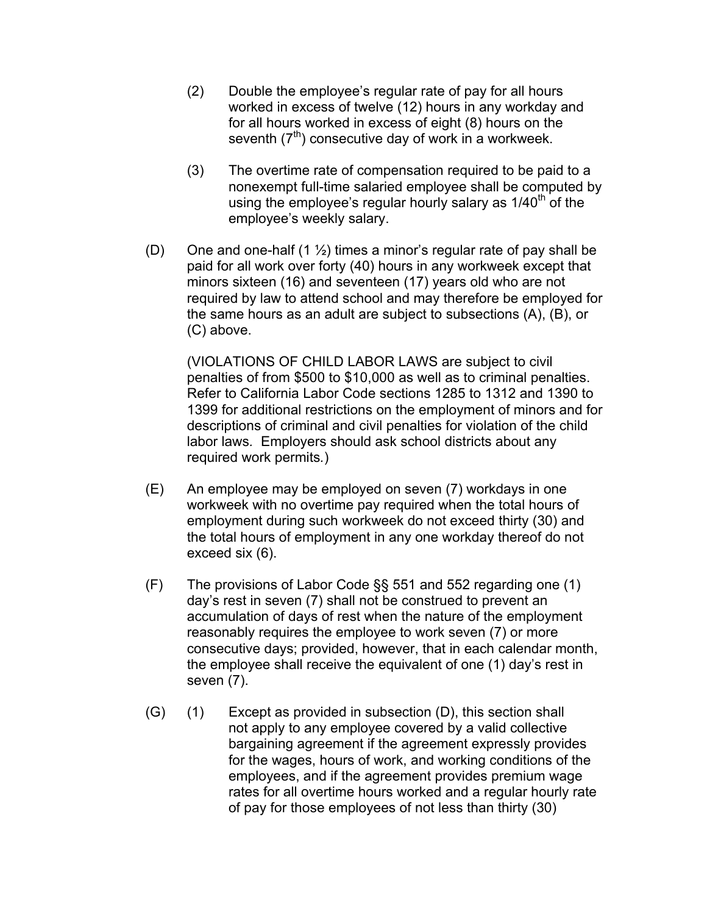- (2) Double the employee's regular rate of pay for all hours worked in excess of twelve (12) hours in any workday and for all hours worked in excess of eight (8) hours on the seventh  $(7<sup>th</sup>)$  consecutive day of work in a workweek.
- (3) The overtime rate of compensation required to be paid to a nonexempt full-time salaried employee shall be computed by using the employee's regular hourly salary as  $1/40<sup>th</sup>$  of the employee's weekly salary.
- (D) One and one-half (1  $\frac{1}{2}$ ) times a minor's regular rate of pay shall be paid for all work over forty (40) hours in any workweek except that minors sixteen (16) and seventeen (17) years old who are not required by law to attend school and may therefore be employed for the same hours as an adult are subject to subsections (A), (B), or (C) above.

(VIOLATIONS OF CHILD LABOR LAWS are subject to civil penalties of from \$500 to \$10,000 as well as to criminal penalties. Refer to California Labor Code sections 1285 to 1312 and 1390 to 1399 for additional restrictions on the employment of minors and for descriptions of criminal and civil penalties for violation of the child labor laws*.* Employers should ask school districts about any required work permits*.*)

- (E) An employee may be employed on seven (7) workdays in one workweek with no overtime pay required when the total hours of employment during such workweek do not exceed thirty (30) and the total hours of employment in any one workday thereof do not exceed six (6).
- $(F)$  The provisions of Labor Code §§ 551 and 552 regarding one (1) day's rest in seven (7) shall not be construed to prevent an accumulation of days of rest when the nature of the employment reasonably requires the employee to work seven (7) or more consecutive days; provided, however, that in each calendar month, the employee shall receive the equivalent of one (1) day's rest in seven (7).
- (G) (1) Except as provided in subsection (D), this section shall not apply to any employee covered by a valid collective bargaining agreement if the agreement expressly provides for the wages, hours of work, and working conditions of the employees, and if the agreement provides premium wage rates for all overtime hours worked and a regular hourly rate of pay for those employees of not less than thirty (30)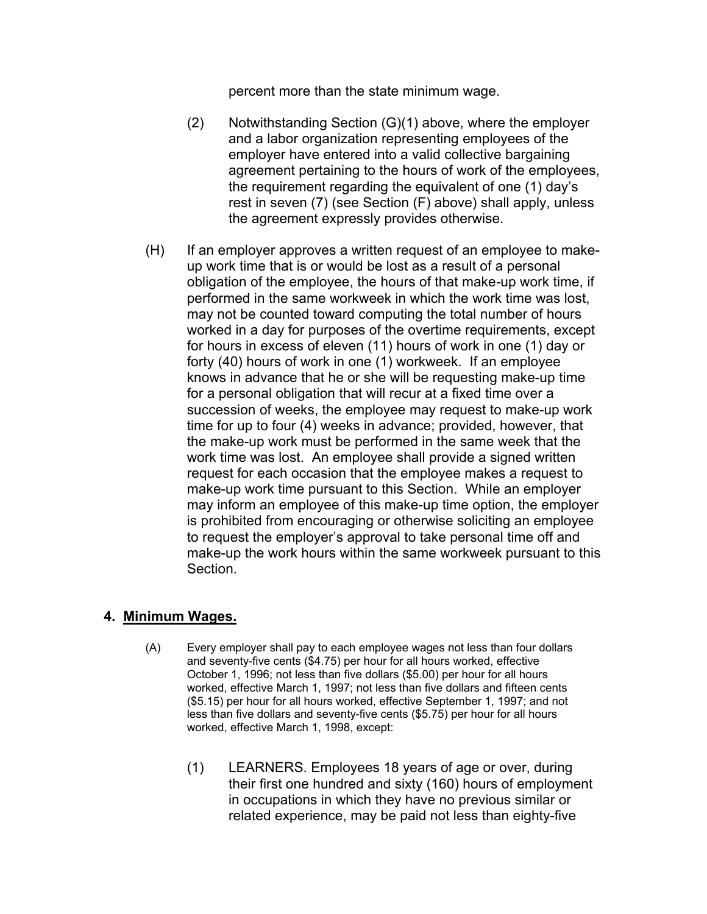percent more than the state minimum wage.

- (2) Notwithstanding Section  $(G)(1)$  above, where the employer and a labor organization representing employees of the employer have entered into a valid collective bargaining agreement pertaining to the hours of work of the employees, the requirement regarding the equivalent of one (1) day's rest in seven (7) (see Section (F) above) shall apply, unless the agreement expressly provides otherwise.
- (H) If an employer approves a written request of an employee to makeup work time that is or would be lost as a result of a personal obligation of the employee, the hours of that make*-*up work time, if performed in the same workweek in which the work time was lost, may not be counted toward computing the total number of hours worked in a day for purposes of the overtime requirements, except for hours in excess of eleven (11) hours of work in one (1) day or forty (40) hours of work in one (1) workweek. If an employee knows in advance that he or she will be requesting make-up time for a personal obligation that will recur at a fixed time over a succession of weeks, the employee may request to make-up work time for up to four (4) weeks in advance; provided, however, that the make-up work must be performed in the same week that the work time was lost. An employee shall provide a signed written request for each occasion that the employee makes a request to make-up work time pursuant to this Section. While an employer may inform an employee of this make-up time option, the employer is prohibited from encouraging or otherwise soliciting an employee to request the employer's approval to take personal time off and make-up the work hours within the same workweek pursuant to this Section.

#### **4. Minimum Wages.**

- (A) Every employer shall pay to each employee wages not less than four dollars and seventy-five cents (\$4.75) per hour for all hours worked, effective October 1, 1996; not less than five dollars (\$5.00) per hour for all hours worked, effective March 1, 1997; not less than five dollars and fifteen cents (\$5.15) per hour for all hours worked, effective September 1, 1997; and not less than five dollars and seventy-five cents (\$5.75) per hour for all hours worked, effective March 1, 1998, except:
	- (1) LEARNERS. Employees 18 years of age or over, during their first one hundred and sixty (160) hours of employment in occupations in which they have no previous similar or related experience, may be paid not less than eighty-five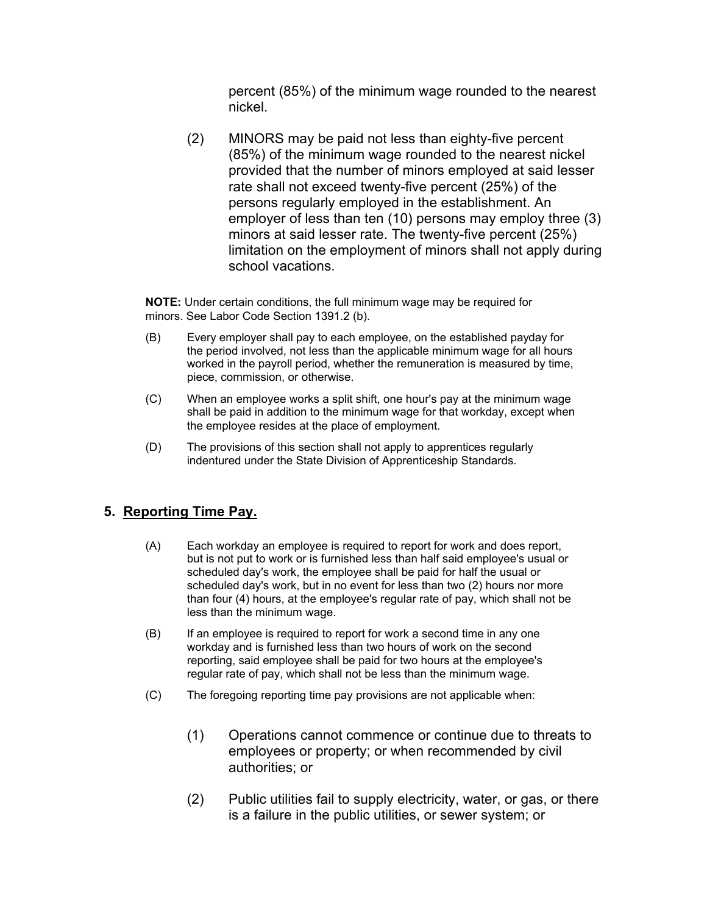percent (85%) of the minimum wage rounded to the nearest nickel.

(2) MINORS may be paid not less than eighty-five percent (85%) of the minimum wage rounded to the nearest nickel provided that the number of minors employed at said lesser rate shall not exceed twenty-five percent (25%) of the persons regularly employed in the establishment. An employer of less than ten (10) persons may employ three (3) minors at said lesser rate. The twenty-five percent (25%) limitation on the employment of minors shall not apply during school vacations.

**NOTE:** Under certain conditions, the full minimum wage may be required for minors. See Labor Code Section 1391.2 (b).

- (B) Every employer shall pay to each employee, on the established payday for the period involved, not less than the applicable minimum wage for all hours worked in the payroll period, whether the remuneration is measured by time, piece, commission, or otherwise.
- (C) When an employee works a split shift, one hour's pay at the minimum wage shall be paid in addition to the minimum wage for that workday, except when the employee resides at the place of employment.
- (D) The provisions of this section shall not apply to apprentices regularly indentured under the State Division of Apprenticeship Standards.

#### **5. Reporting Time Pay.**

- (A) Each workday an employee is required to report for work and does report, but is not put to work or is furnished less than half said employee's usual or scheduled day's work, the employee shall be paid for half the usual or scheduled day's work, but in no event for less than two (2) hours nor more than four (4) hours, at the employee's regular rate of pay, which shall not be less than the minimum wage.
- (B) If an employee is required to report for work a second time in any one workday and is furnished less than two hours of work on the second reporting, said employee shall be paid for two hours at the employee's regular rate of pay, which shall not be less than the minimum wage.
- $(C)$ The foregoing reporting time pay provisions are not applicable when:
	- (1) Operations cannot commence or continue due to threats to employees or property; or when recommended by civil authorities; or
	- (2) Public utilities fail to supply electricity, water, or gas, or there is a failure in the public utilities, or sewer system; or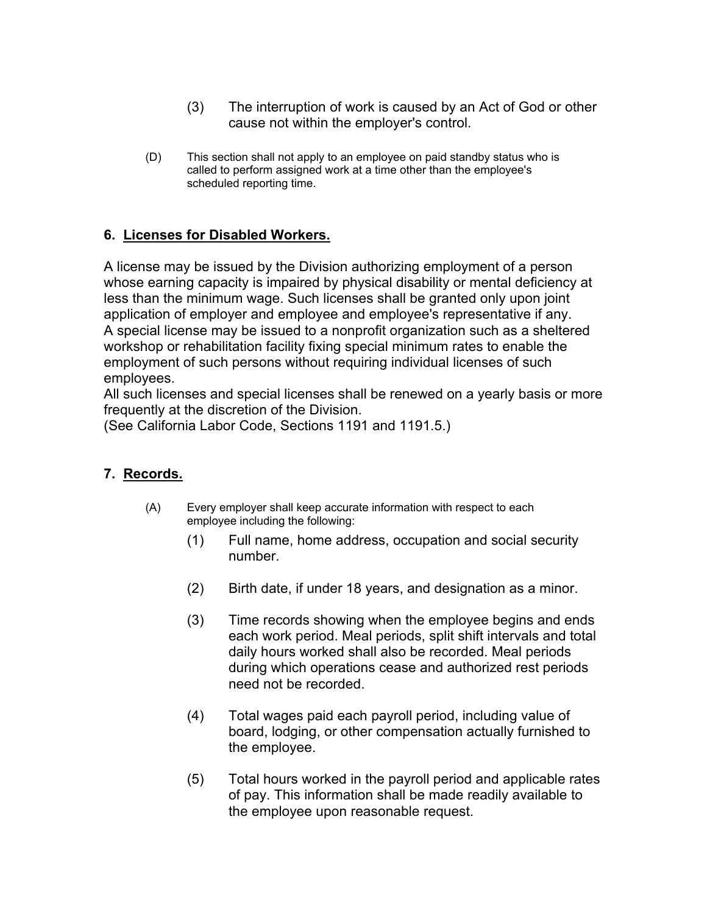- (3) The interruption of work is caused by an Act of God or other cause not within the employer's control.
- (D) This section shall not apply to an employee on paid standby status who is called to perform assigned work at a time other than the employee's scheduled reporting time.

## **6. Licenses for Disabled Workers.**

A license may be issued by the Division authorizing employment of a person whose earning capacity is impaired by physical disability or mental deficiency at less than the minimum wage. Such licenses shall be granted only upon joint application of employer and employee and employee's representative if any. A special license may be issued to a nonprofit organization such as a sheltered workshop or rehabilitation facility fixing special minimum rates to enable the employment of such persons without requiring individual licenses of such employees.

All such licenses and special licenses shall be renewed on a yearly basis or more frequently at the discretion of the Division.

(See California Labor Code, Sections 1191 and 1191.5.)

## **7. Records.**

- (A) Every employer shall keep accurate information with respect to each employee including the following:
	- (1) Full name, home address, occupation and social security number.
	- (2) Birth date, if under 18 years, and designation as a minor.
	- (3) Time records showing when the employee begins and ends each work period. Meal periods, split shift intervals and total daily hours worked shall also be recorded. Meal periods during which operations cease and authorized rest periods need not be recorded.
	- (4) Total wages paid each payroll period, including value of board, lodging, or other compensation actually furnished to the employee.
	- (5) Total hours worked in the payroll period and applicable rates of pay. This information shall be made readily available to the employee upon reasonable request.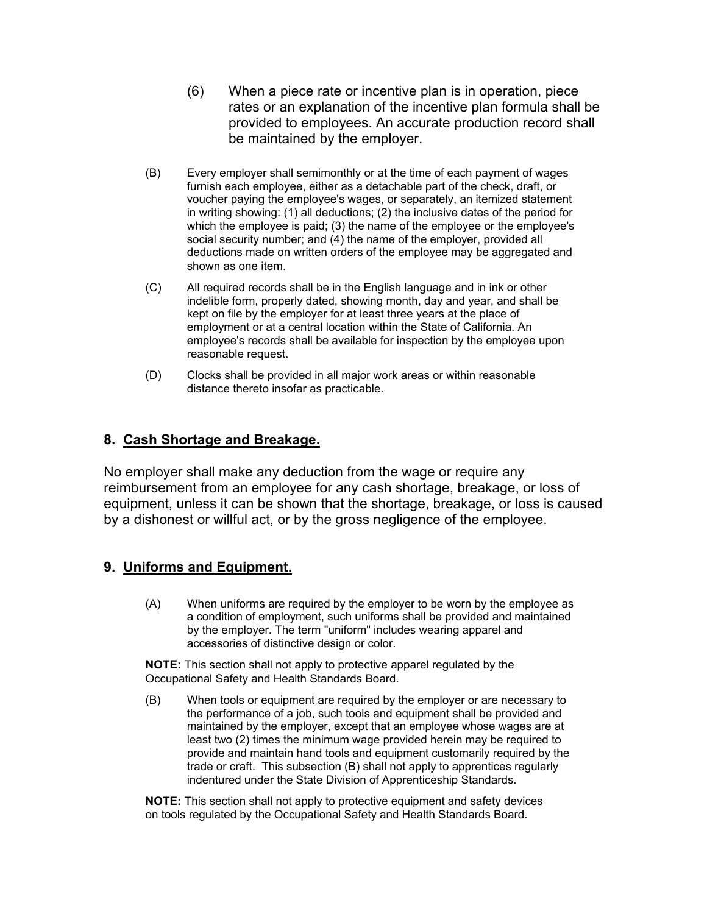- (6) When a piece rate or incentive plan is in operation, piece rates or an explanation of the incentive plan formula shall be provided to employees. An accurate production record shall be maintained by the employer.
- (B) Every employer shall semimonthly or at the time of each payment of wages furnish each employee, either as a detachable part of the check, draft, or voucher paying the employee's wages, or separately, an itemized statement in writing showing: (1) all deductions; (2) the inclusive dates of the period for which the employee is paid; (3) the name of the employee or the employee's social security number; and (4) the name of the employer, provided all deductions made on written orders of the employee may be aggregated and shown as one item.
- (C) All required records shall be in the English language and in ink or other indelible form, properly dated, showing month, day and year, and shall be kept on file by the employer for at least three years at the place of employment or at a central location within the State of California. An employee's records shall be available for inspection by the employee upon reasonable request.
- (D) Clocks shall be provided in all major work areas or within reasonable distance thereto insofar as practicable.

## **8. Cash Shortage and Breakage.**

No employer shall make any deduction from the wage or require any reimbursement from an employee for any cash shortage, breakage, or loss of equipment, unless it can be shown that the shortage, breakage, or loss is caused by a dishonest or willful act, or by the gross negligence of the employee.

## **9. Uniforms and Equipment.**

(A) When uniforms are required by the employer to be worn by the employee as a condition of employment, such uniforms shall be provided and maintained by the employer. The term "uniform" includes wearing apparel and accessories of distinctive design or color.

**NOTE:** This section shall not apply to protective apparel regulated by the Occupational Safety and Health Standards Board.

(B) When tools or equipment are required by the employer or are necessary to the performance of a job, such tools and equipment shall be provided and maintained by the employer, except that an employee whose wages are at least two (2) times the minimum wage provided herein may be required to provide and maintain hand tools and equipment customarily required by the trade or craft. This subsection (B) shall not apply to apprentices regularly indentured under the State Division of Apprenticeship Standards.

**NOTE:** This section shall not apply to protective equipment and safety devices on tools regulated by the Occupational Safety and Health Standards Board.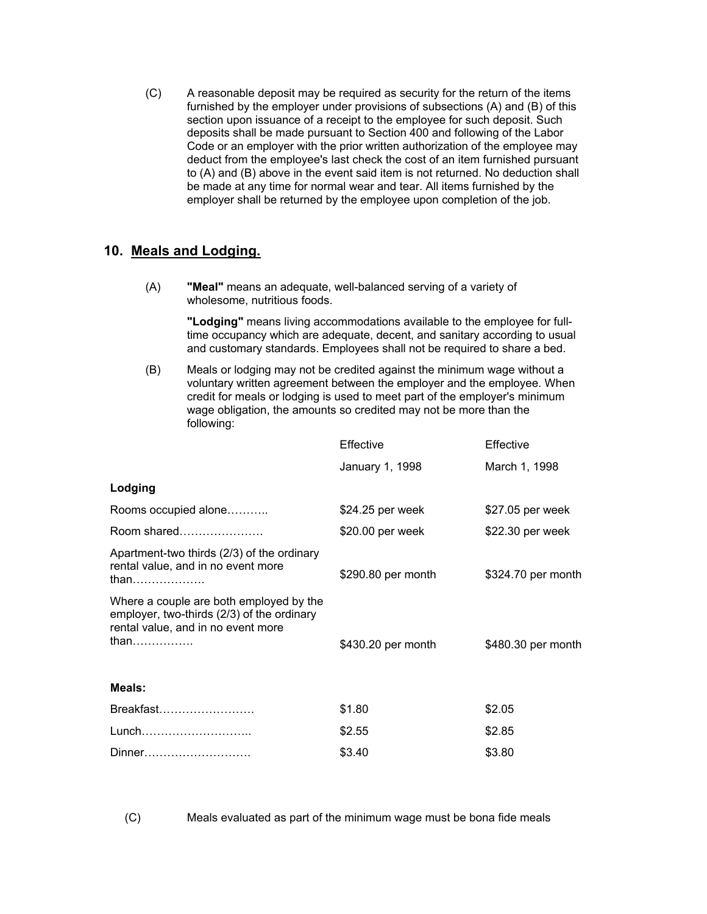(C) A reasonable deposit may be required as security for the return of the items furnished by the employer under provisions of subsections (A) and (B) of this section upon issuance of a receipt to the employee for such deposit. Such deposits shall be made pursuant to Section 400 and following of the Labor Code or an employer with the prior written authorization of the employee may deduct from the employee's last check the cost of an item furnished pursuant to (A) and (B) above in the event said item is not returned. No deduction shall be made at any time for normal wear and tear. All items furnished by the employer shall be returned by the employee upon completion of the job.

#### **10. Meals and Lodging.**

(A) **"Meal"** means an adequate, well-balanced serving of a variety of wholesome, nutritious foods.

> **"Lodging"** means living accommodations available to the employee for fulltime occupancy which are adequate, decent, and sanitary according to usual and customary standards. Employees shall not be required to share a bed.

(B) Meals or lodging may not be credited against the minimum wage without a voluntary written agreement between the employer and the employee. When credit for meals or lodging is used to meet part of the employer's minimum wage obligation, the amounts so credited may not be more than the following:

|                                                                                                                                     | Effective          | Effective          |
|-------------------------------------------------------------------------------------------------------------------------------------|--------------------|--------------------|
|                                                                                                                                     | January 1, 1998    | March 1, 1998      |
| Lodging                                                                                                                             |                    |                    |
| Rooms occupied alone                                                                                                                | \$24.25 per week   | \$27.05 per week   |
| Room shared                                                                                                                         | \$20.00 per week   | \$22.30 per week   |
| Apartment-two thirds (2/3) of the ordinary<br>rental value, and in no event more<br>than                                            | \$290.80 per month | \$324.70 per month |
| Where a couple are both employed by the<br>employer, two-thirds (2/3) of the ordinary<br>rental value, and in no event more<br>than | \$430.20 per month | \$480.30 per month |
| Meals:                                                                                                                              |                    |                    |
| Breakfast                                                                                                                           | \$1.80             | \$2.05             |
| Lunch                                                                                                                               | \$2.55             | \$2.85             |
| Dinner                                                                                                                              | \$3.40             | \$3.80             |

 $(C)$ Meals evaluated as part of the minimum wage must be bona fide meals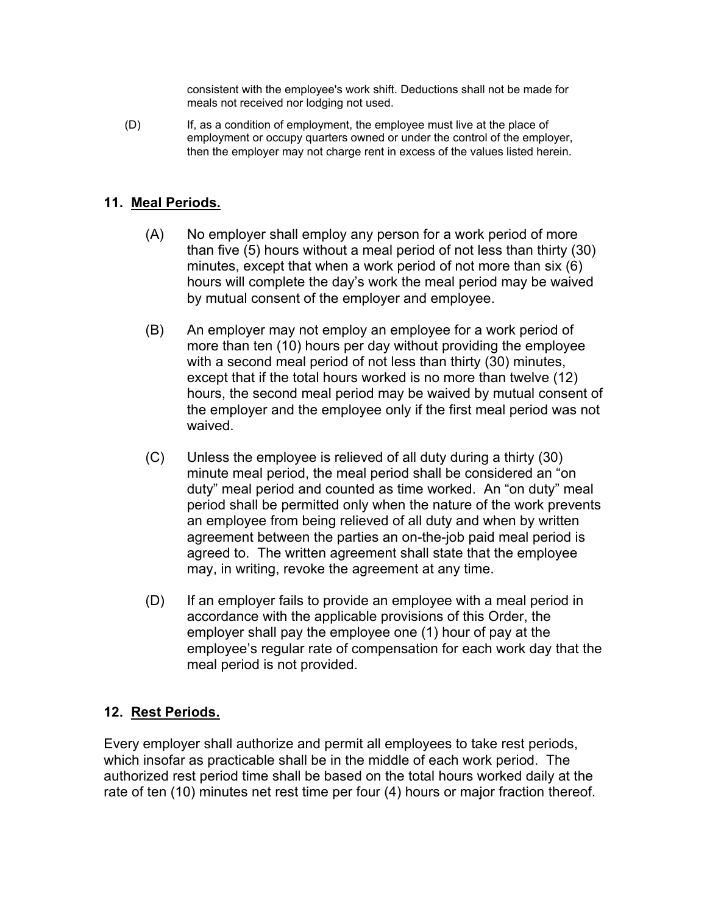consistent with the employee's work shift. Deductions shall not be made for meals not received nor lodging not used.

 $(D)$ If, as a condition of employment, the employee must live at the place of employment or occupy quarters owned or under the control of the employer, then the employer may not charge rent in excess of the values listed herein.

#### **11. Meal Periods.**

- (A) No employer shall employ any person for a work period of more than five (5) hours without a meal period of not less than thirty (30) minutes, except that when a work period of not more than six (6) hours will complete the day's work the meal period may be waived by mutual consent of the employer and employee.
- (B) An employer may not employ an employee for a work period of more than ten (10) hours per day without providing the employee with a second meal period of not less than thirty (30) minutes, except that if the total hours worked is no more than twelve (12) hours, the second meal period may be waived by mutual consent of the employer and the employee only if the first meal period was not waived.
- (C) Unless the employee is relieved of all duty during a thirty (30) minute meal period, the meal period shall be considered an "on duty" meal period and counted as time worked. An "on duty" meal period shall be permitted only when the nature of the work prevents an employee from being relieved of all duty and when by written agreement between the parties an on-the-job paid meal period is agreed to. The written agreement shall state that the employee may, in writing, revoke the agreement at any time.
- (D) If an employer fails to provide an employee with a meal period in accordance with the applicable provisions of this Order, the employer shall pay the employee one (1) hour of pay at the employee's regular rate of compensation for each work day that the meal period is not provided.

## **12. Rest Periods.**

Every employer shall authorize and permit all employees to take rest periods, which insofar as practicable shall be in the middle of each work period. The authorized rest period time shall be based on the total hours worked daily at the rate of ten (10) minutes net rest time per four (4) hours or major fraction thereof.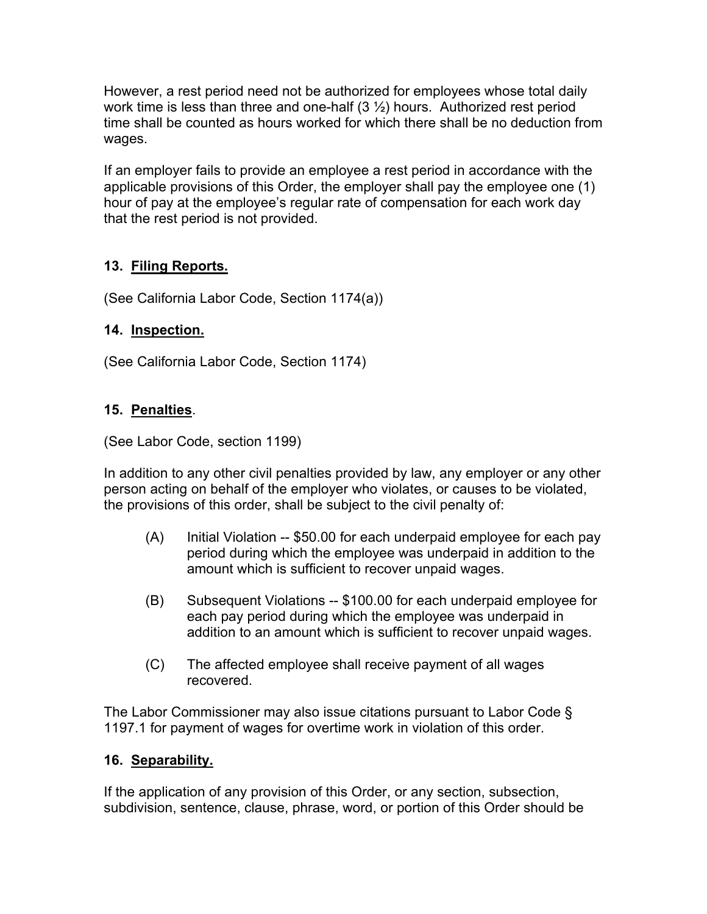However, a rest period need not be authorized for employees whose total daily work time is less than three and one-half  $(3 \frac{1}{2})$  hours. Authorized rest period time shall be counted as hours worked for which there shall be no deduction from wages.

If an employer fails to provide an employee a rest period in accordance with the applicable provisions of this Order, the employer shall pay the employee one (1) hour of pay at the employee's regular rate of compensation for each work day that the rest period is not provided.

# **13. Filing Reports.**

(See California Labor Code, Section 1174(a))

## **14. Inspection.**

(See California Labor Code, Section 1174)

## **15. Penalties**.

(See Labor Code, section 1199)

In addition to any other civil penalties provided by law, any employer or any other person acting on behalf of the employer who violates, or causes to be violated, the provisions of this order, shall be subject to the civil penalty of:

- (A) Initial Violation -- \$50.00 for each underpaid employee for each pay period during which the employee was underpaid in addition to the amount which is sufficient to recover unpaid wages.
- (B) Subsequent Violations -- \$100.00 for each underpaid employee for each pay period during which the employee was underpaid in addition to an amount which is sufficient to recover unpaid wages.
- (C) The affected employee shall receive payment of all wages recovered.

The Labor Commissioner may also issue citations pursuant to Labor Code § 1197.1 for payment of wages for overtime work in violation of this order.

## **16. Separability.**

If the application of any provision of this Order, or any section, subsection, subdivision, sentence, clause, phrase, word, or portion of this Order should be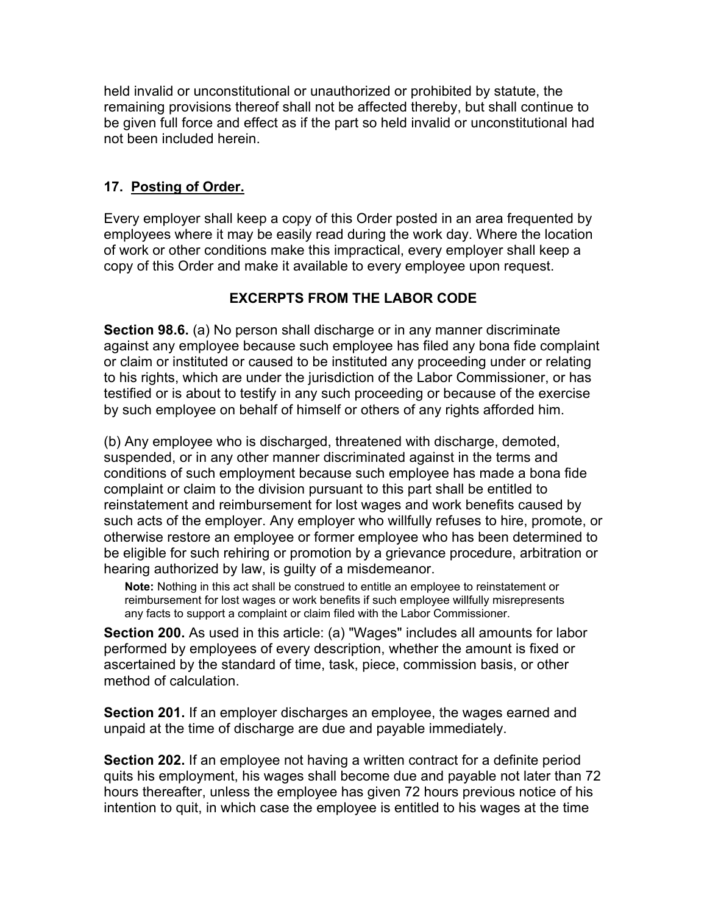held invalid or unconstitutional or unauthorized or prohibited by statute, the remaining provisions thereof shall not be affected thereby, but shall continue to be given full force and effect as if the part so held invalid or unconstitutional had not been included herein.

## **17. Posting of Order.**

Every employer shall keep a copy of this Order posted in an area frequented by employees where it may be easily read during the work day. Where the location of work or other conditions make this impractical, every employer shall keep a copy of this Order and make it available to every employee upon request.

# **EXCERPTS FROM THE LABOR CODE**

**Section 98.6.** (a) No person shall discharge or in any manner discriminate against any employee because such employee has filed any bona fide complaint or claim or instituted or caused to be instituted any proceeding under or relating to his rights, which are under the jurisdiction of the Labor Commissioner, or has testified or is about to testify in any such proceeding or because of the exercise by such employee on behalf of himself or others of any rights afforded him.

(b) Any employee who is discharged, threatened with discharge, demoted, suspended, or in any other manner discriminated against in the terms and conditions of such employment because such employee has made a bona fide complaint or claim to the division pursuant to this part shall be entitled to reinstatement and reimbursement for lost wages and work benefits caused by such acts of the employer. Any employer who willfully refuses to hire, promote, or otherwise restore an employee or former employee who has been determined to be eligible for such rehiring or promotion by a grievance procedure, arbitration or hearing authorized by law, is guilty of a misdemeanor.

**Note:** Nothing in this act shall be construed to entitle an employee to reinstatement or reimbursement for lost wages or work benefits if such employee willfully misrepresents any facts to support a complaint or claim filed with the Labor Commissioner.

**Section 200.** As used in this article: (a) "Wages" includes all amounts for labor performed by employees of every description, whether the amount is fixed or ascertained by the standard of time, task, piece, commission basis, or other method of calculation.

**Section 201.** If an employer discharges an employee, the wages earned and unpaid at the time of discharge are due and payable immediately.

**Section 202.** If an employee not having a written contract for a definite period quits his employment, his wages shall become due and payable not later than 72 hours thereafter, unless the employee has given 72 hours previous notice of his intention to quit, in which case the employee is entitled to his wages at the time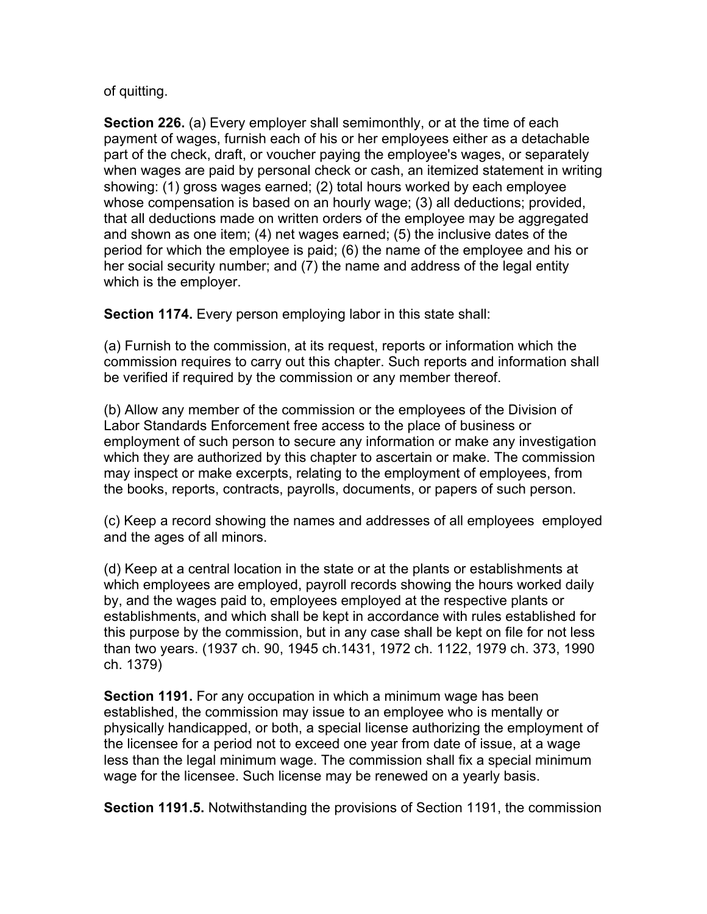of quitting.

**Section 226.** (a) Every employer shall semimonthly, or at the time of each payment of wages, furnish each of his or her employees either as a detachable part of the check, draft, or voucher paying the employee's wages, or separately when wages are paid by personal check or cash, an itemized statement in writing showing: (1) gross wages earned; (2) total hours worked by each employee whose compensation is based on an hourly wage; (3) all deductions; provided, that all deductions made on written orders of the employee may be aggregated and shown as one item; (4) net wages earned; (5) the inclusive dates of the period for which the employee is paid; (6) the name of the employee and his or her social security number; and (7) the name and address of the legal entity which is the employer.

**Section 1174.** Every person employing labor in this state shall:

(a) Furnish to the commission, at its request, reports or information which the commission requires to carry out this chapter. Such reports and information shall be verified if required by the commission or any member thereof.

(b) Allow any member of the commission or the employees of the Division of Labor Standards Enforcement free access to the place of business or employment of such person to secure any information or make any investigation which they are authorized by this chapter to ascertain or make. The commission may inspect or make excerpts, relating to the employment of employees, from the books, reports, contracts, payrolls, documents, or papers of such person.

(c) Keep a record showing the names and addresses of all employees employed and the ages of all minors.

(d) Keep at a central location in the state or at the plants or establishments at which employees are employed, payroll records showing the hours worked daily by, and the wages paid to, employees employed at the respective plants or establishments, and which shall be kept in accordance with rules established for this purpose by the commission, but in any case shall be kept on file for not less than two years. (1937 ch. 90, 1945 ch.1431, 1972 ch. 1122, 1979 ch. 373, 1990 ch. 1379)

**Section 1191.** For any occupation in which a minimum wage has been established, the commission may issue to an employee who is mentally or physically handicapped, or both, a special license authorizing the employment of the licensee for a period not to exceed one year from date of issue, at a wage less than the legal minimum wage. The commission shall fix a special minimum wage for the licensee. Such license may be renewed on a yearly basis.

**Section 1191.5.** Notwithstanding the provisions of Section 1191, the commission